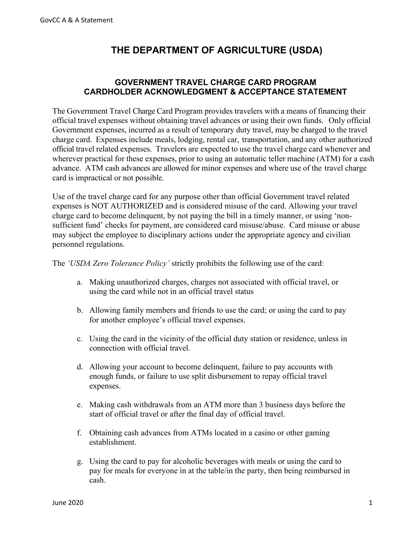## **THE DEPARTMENT OF AGRICULTURE (USDA)**

## **GOVERNMENT TRAVEL CHARGE CARD PROGRAM CARDHOLDER ACKNOWLEDGMENT & ACCEPTANCE STATEMENT**

The Government Travel Charge Card Program provides travelers with a means of financing their official travel expenses without obtaining travel advances or using their own funds. Only official Government expenses, incurred as a result of temporary duty travel, may be charged to the travel charge card. Expenses include meals, lodging, rental car, transportation, and any other authorized official travel related expenses. Travelers are expected to use the travel charge card whenever and wherever practical for these expenses, prior to using an automatic teller machine (ATM) for a cash advance. ATM cash advances are allowed for minor expenses and where use of the travel charge card is impractical or not possible.

Use of the travel charge card for any purpose other than official Government travel related expenses is NOT AUTHORIZED and is considered misuse of the card. Allowing your travel charge card to become delinquent, by not paying the bill in a timely manner, or using 'nonsufficient fund' checks for payment, are considered card misuse/abuse. Card misuse or abuse may subject the employee to disciplinary actions under the appropriate agency and civilian personnel regulations.

The *'USDA Zero Tolerance Policy'* strictly prohibits the following use of the card:

- a. Making unauthorized charges, charges not associated with official travel, or using the card while not in an official travel status
- b. Allowing family members and friends to use the card; or using the card to pay for another employee's official travel expenses.
- c. Using the card in the vicinity of the official duty station or residence, unless in connection with official travel.
- d. Allowing your account to become delinquent, failure to pay accounts with enough funds, or failure to use split disbursement to repay official travel expenses.
- e. Making cash withdrawals from an ATM more than 3 business days before the start of official travel or after the final day of official travel.
- f. Obtaining cash advances from ATMs located in a casino or other gaming establishment.
- g. Using the card to pay for alcoholic beverages with meals or using the card to pay for meals for everyone in at the table/in the party, then being reimbursed in cash.